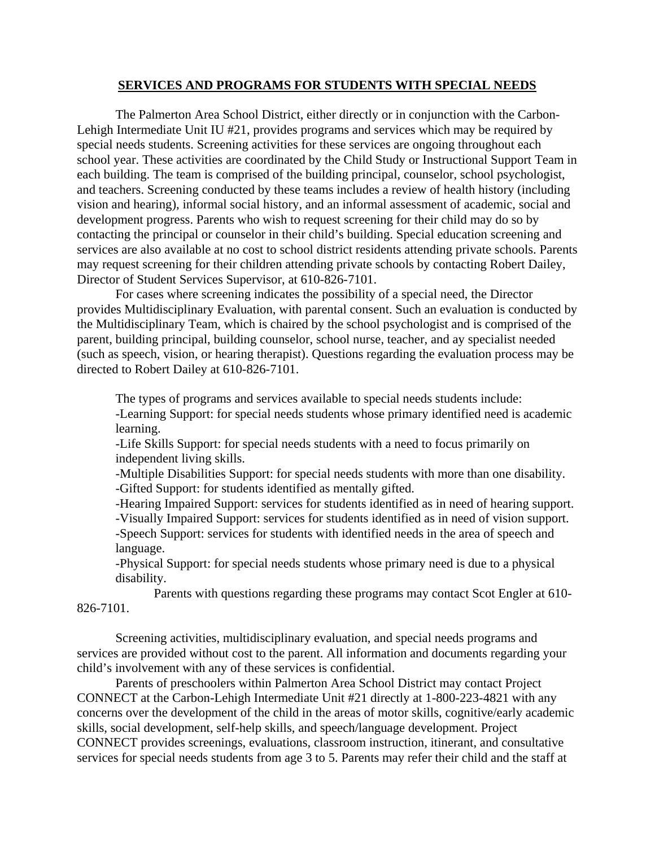## **SERVICES AND PROGRAMS FOR STUDENTS WITH SPECIAL NEEDS**

 The Palmerton Area School District, either directly or in conjunction with the Carbon-Lehigh Intermediate Unit IU #21, provides programs and services which may be required by special needs students. Screening activities for these services are ongoing throughout each school year. These activities are coordinated by the Child Study or Instructional Support Team in each building. The team is comprised of the building principal, counselor, school psychologist, and teachers. Screening conducted by these teams includes a review of health history (including vision and hearing), informal social history, and an informal assessment of academic, social and development progress. Parents who wish to request screening for their child may do so by contacting the principal or counselor in their child's building. Special education screening and services are also available at no cost to school district residents attending private schools. Parents may request screening for their children attending private schools by contacting Robert Dailey, Director of Student Services Supervisor, at 610-826-7101.

 For cases where screening indicates the possibility of a special need, the Director provides Multidisciplinary Evaluation, with parental consent. Such an evaluation is conducted by the Multidisciplinary Team, which is chaired by the school psychologist and is comprised of the parent, building principal, building counselor, school nurse, teacher, and ay specialist needed (such as speech, vision, or hearing therapist). Questions regarding the evaluation process may be directed to Robert Dailey at 610-826-7101.

 The types of programs and services available to special needs students include: -Learning Support: for special needs students whose primary identified need is academic learning.

-Life Skills Support: for special needs students with a need to focus primarily on independent living skills.

-Multiple Disabilities Support: for special needs students with more than one disability. -Gifted Support: for students identified as mentally gifted.

-Hearing Impaired Support: services for students identified as in need of hearing support.

-Visually Impaired Support: services for students identified as in need of vision support. -Speech Support: services for students with identified needs in the area of speech and language.

-Physical Support: for special needs students whose primary need is due to a physical disability.

 Parents with questions regarding these programs may contact Scot Engler at 610- 826-7101.

 Screening activities, multidisciplinary evaluation, and special needs programs and services are provided without cost to the parent. All information and documents regarding your child's involvement with any of these services is confidential.

 Parents of preschoolers within Palmerton Area School District may contact Project CONNECT at the Carbon-Lehigh Intermediate Unit #21 directly at 1-800-223-4821 with any concerns over the development of the child in the areas of motor skills, cognitive/early academic skills, social development, self-help skills, and speech/language development. Project CONNECT provides screenings, evaluations, classroom instruction, itinerant, and consultative services for special needs students from age 3 to 5. Parents may refer their child and the staff at